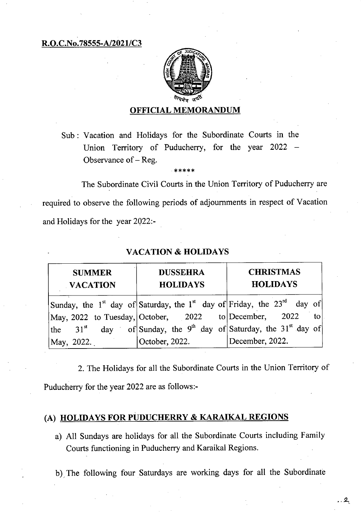R.O.C.No.78555-A/2021/C3



#### OFFICIAL MEMORANDUM

Sub: Vacation and Holidays for the Subordinate Courts in the Union Territory of Puducherry, for the year 2022 — Observance of— Reg.

The Subordinate Civil Courts in the Union Territory of Puducherry are required to observe the following periods of adjournments in respect of Vacation and Holidays for the year 2022:-

| <b>SUMMER</b><br><b>VACATION</b> | <b>DUSSEHRA</b><br><b>HOLIDAYS</b>                    | <b>CHRISTMAS</b><br><b>HOLIDAYS</b>                                                                         |
|----------------------------------|-------------------------------------------------------|-------------------------------------------------------------------------------------------------------------|
|                                  |                                                       | Sunday, the 1 <sup>st</sup> day of Saturday, the 1 <sup>st</sup> day of Friday, the 23 <sup>rd</sup> day of |
|                                  | May, 2022 to Tuesday, October, 2022 to December, 2022 | to                                                                                                          |
|                                  |                                                       | the 31 <sup>st</sup> day of Sunday, the 9 <sup>th</sup> day of Saturday, the 31 <sup>st</sup> day of        |
| May, 2022.                       | October, 2022.                                        | December, 2022.                                                                                             |

#### VACATION & HOLIDAYS

2. The Holidays for all the Subordinate Courts in the Union Territory of Puducherry for the year 2022 are as follows:-

## (A) HOLIDAYS FOR PUDUCHERRY & KARAIKAL REGIONS

a) All Sundays are holidays for all the Subordinate Courts including Family Courts functioning in Puducherry and Karaikal Regions.

b), The following four Saturdays are working days for all the Subordinate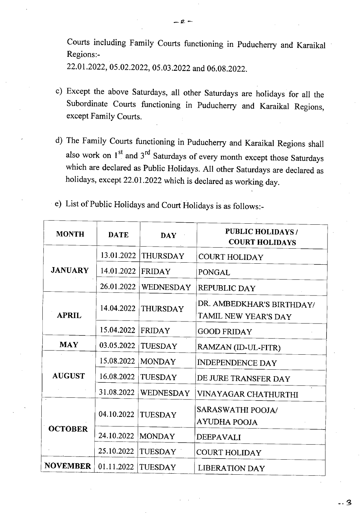Courts including Family Courts functioning in Puducherry and Karaikal Regions:-

22.01.2022, 05.02.2022, 05.03.2022 and 06.08.2022.

- Except the above Saturdays, all other Saturdays are holidays for all the Subordinate Courts functioning in Puducherry and Karaikal Regions, except Family Courts.
- The Family Courts functioning in Puducherry and Karaikal Regions shall also work on  $1<sup>st</sup>$  and  $3<sup>rd</sup>$  Saturdays of every month except those Saturdays which are declared as Public Holidays. All other Saturdays are declared as holidays, except 22.01.2022 which is declared as working day.
- List of Public Holidays and Court Holidays is as follows:-

| <b>MONTH</b>    | <b>DATE</b> | <b>DAY</b>       | <b>PUBLIC HOLIDAYS /</b><br><b>COURT HOLIDAYS</b> |
|-----------------|-------------|------------------|---------------------------------------------------|
| <b>JANUARY</b>  | 13.01.2022  | <b>THURSDAY</b>  | <b>COURT HOLIDAY</b>                              |
|                 | 14.01.2022  | <b>FRIDAY</b>    | <b>PONGAL</b>                                     |
|                 | 26.01.2022  | <b>WEDNESDAY</b> | <b>REPUBLIC DAY</b>                               |
| <b>APRIL</b>    | 14.04.2022  | <b>THURSDAY</b>  | DR. AMBEDKHAR'S BIRTHDAY/<br>TAMIL NEW YEAR'S DAY |
|                 | 15.04.2022  | FRIDAY           | <b>GOOD FRIDAY</b>                                |
| <b>MAY</b>      | 03.05.2022  | <b>TUESDAY</b>   | RAMZAN (ID-UL-FITR)                               |
| <b>AUGUST</b>   | 15.08.2022  | <b>MONDAY</b>    | <b>INDEPENDENCE DAY</b>                           |
|                 | 16.08.2022  | <b>TUESDAY</b>   | DE JURE TRANSFER DAY                              |
|                 | 31.08.2022  | <b>WEDNESDAY</b> | VINAYAGAR CHATHURTHI                              |
| <b>OCTOBER</b>  | 04.10.2022  | TUESDAY          | SARASWATHI POOJA/<br><b>AYUDHA POOJA</b>          |
|                 | 24.10.2022  | <b>MONDAY</b>    | <b>DEEPAVALI</b>                                  |
|                 | 25.10.2022  | <b>TUESDAY</b>   | <b>COURT HOLIDAY</b>                              |
| <b>NOVEMBER</b> | 01.11.2022  | TUESDAY          | <b>LIBERATION DAY</b>                             |

. 2

*— a —*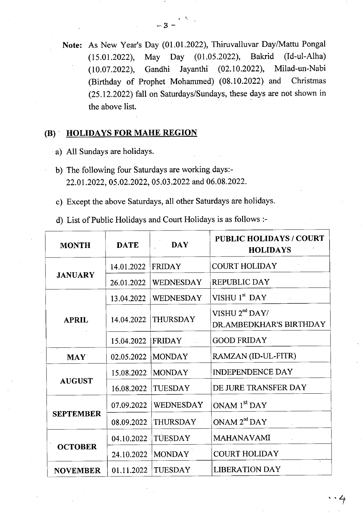**Note:** As New Year's Day (01.01.2022), Thiruvalluvar Day/Mattu Pongal (15.01.2022), May Day (01.05.2022), Bakrid (Id-ul-Alha) (10.07.2022), Gandhi Jayanthi (02.10.2022), Milad-un-Nabi (Birthday of Prophet Mohammed) (08.10.2022) and Christmas (25.12.2022) fall on Saturdays/Sundays, these days are not shown in the above list.

### **(B) HOLIDAYS FOR MAHE REGION**

- a) All Sundays are holidays.
- b) The following four Saturdays are working days:-22.01.2022, 05.02.2022, 05.03.2022 and 06.08.2022.
- Except the above Saturdays, all other Saturdays are holidays.

List of Public Holidays and Court Holidays is as follows :-

| <b>MONTH</b>     | <b>DATE</b> | <b>DAY</b>       | <b>PUBLIC HOLIDAYS / COURT</b><br><b>HOLIDAYS</b>     |
|------------------|-------------|------------------|-------------------------------------------------------|
| <b>JANUARY</b>   | 14.01.2022  | <b>FRIDAY</b>    | <b>COURT HOLIDAY</b>                                  |
|                  | 26.01.2022  | <b>WEDNESDAY</b> | <b>REPUBLIC DAY</b>                                   |
| <b>APRIL</b>     | 13.04.2022  | <b>WEDNESDAY</b> | VISHU 1 <sup>st</sup> DAY                             |
|                  | 14.04.2022  | <b>THURSDAY</b>  | VISHU 2 <sup>nd</sup> DAY/<br>DR.AMBEDKHAR'S BIRTHDAY |
|                  | 15.04.2022  | <b>FRIDAY</b>    | <b>GOOD FRIDAY</b>                                    |
| <b>MAY</b>       | 02.05.2022  | <b>MONDAY</b>    | RAMZAN (ID-UL-FITR)                                   |
| <b>AUGUST</b>    | 15.08.2022  | <b>MONDAY</b>    | <b>INDEPENDENCE DAY</b>                               |
|                  | 16.08.2022  | <b>TUESDAY</b>   | DE JURE TRANSFER DAY                                  |
| <b>SEPTEMBER</b> | 07.09.2022  | <b>WEDNESDAY</b> | ONAM 1 <sup>st</sup> DAY                              |
|                  | 08.09.2022  | <b>THURSDAY</b>  | ONAM 2 <sup>nd</sup> DAY                              |
| <b>OCTOBER</b>   | 04.10.2022  | TUESDAY          | <b>MAHANAVAMI</b>                                     |
|                  | 24.10.2022  | <b>MONDAY</b>    | <b>COURT HOLIDAY</b>                                  |
| <b>NOVEMBER</b>  | 01.11.2022  | <b>TUESDAY</b>   | <b>LIBERATION DAY</b>                                 |

**— 3 —**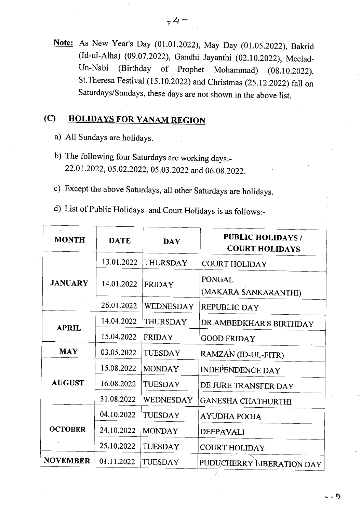Note: As New Year's Day (01.01.2022), May Day (01.05.2022), Bakrid (Id-ul-Atha) (09.07.2022), Gandhi Jayanthi (02.10.2022), Meelad-Un-Nabi (Birthday of Prophet Mohammad) (08.10.2022), St.Theresa Festival (15.10.2022) and Christmas (25.12.2022) fall on Saturdays/Sundays, these days are not shown in the above list.

# **(C) HOLIDAYS FOR YANAM REGION**

- All Sundays are holidays.
- b) The following four Saturdays are working days:-22.01.2022, 05.02.2022, 05.03.2022 and 06.08.2022.
- c) Except the above Saturdays, all other Saturdays are holidays.
- List of Public Holidays and Court Holidays is as follows:-

| <b>MONTH</b>    | <b>DATE</b> | <b>DAY</b>       | <b>PUBLIC HOLIDAYS /</b><br><b>COURT HOLIDAYS</b> |
|-----------------|-------------|------------------|---------------------------------------------------|
| <b>JANUARY</b>  | 13.01.2022  | <b>THURSDAY</b>  | <b>COURT HOLIDAY</b>                              |
|                 | 14.01.2022  | <b>FRIDAY</b>    | PONGAL<br>(MAKARA SANKARANTHI)                    |
|                 | 26.01.2022  | <b>WEDNESDAY</b> | REPUBLIC DAY                                      |
| <b>APRIL</b>    | 14.04.2022  | <b>THURSDAY</b>  | DR.AMBEDKHAR'S BIRTHDAY                           |
|                 | 15.04.2022  | <b>FRIDAY</b>    | <b>GOOD FRIDAY</b>                                |
| <b>MAY</b>      | 03.05.2022  | <b>TUESDAY</b>   | RAMZAN (ID-UL-FITR)                               |
| <b>AUGUST</b>   | 15.08.2022  | <b>MONDAY</b>    | <b>INDEPENDENCE DAY</b>                           |
|                 | 16.08.2022  | <b>TUESDAY</b>   | DE JURE TRANSFER DAY                              |
|                 | 31.08.2022  | <b>WEDNESDAY</b> | <b>GANESHA CHATHURTHI</b>                         |
| <b>OCTOBER</b>  | 04.10.2022  | <b>TUESDAY</b>   | <b>AYUDHA POOJA</b>                               |
|                 | 24.10.2022  | <b>MONDAY</b>    | <b>DEEPAVALI</b>                                  |
|                 | 25.10.2022  | TUESDAY          | <b>COURT HOLIDAY</b>                              |
| <b>NOVEMBER</b> | 01.11.2022  | <b>TUESDAY</b>   | PUDUCHERRY LIBERATION DAY                         |

. 5